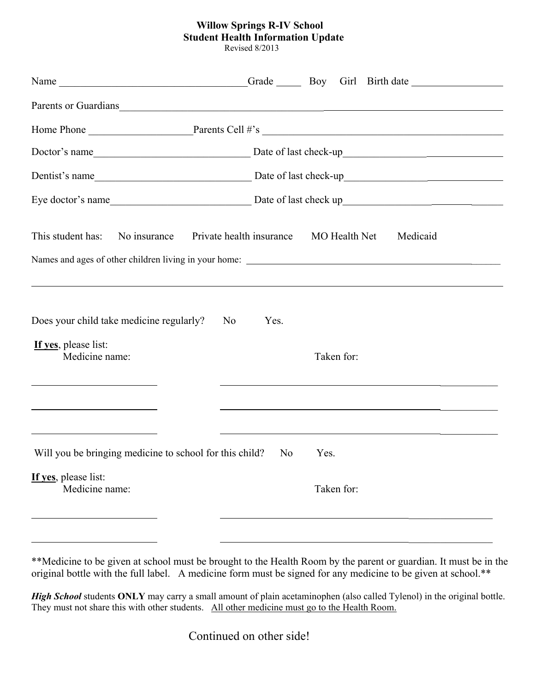## **Willow Springs R-IV School Student Health Information Update**

Revised 8/2013

|                                                                                                      | Parents or Guardians experience and the contract of the contract of the contract of the contract of the contract of the contract of the contract of the contract of the contract of the contract of the contract of the contra |
|------------------------------------------------------------------------------------------------------|--------------------------------------------------------------------------------------------------------------------------------------------------------------------------------------------------------------------------------|
|                                                                                                      |                                                                                                                                                                                                                                |
|                                                                                                      |                                                                                                                                                                                                                                |
|                                                                                                      |                                                                                                                                                                                                                                |
|                                                                                                      |                                                                                                                                                                                                                                |
| No insurance<br>Private health insurance<br>This student has:                                        | MO Health Net<br>Medicaid                                                                                                                                                                                                      |
| Does your child take medicine regularly?<br>No.<br>If yes, please list:<br>Medicine name:            | Yes.<br>Taken for:                                                                                                                                                                                                             |
| Will you be bringing medicine to school for this child? No<br>If yes, please list:<br>Medicine name: | <u> 1990 - Jan James James Barnett, amerikansk politik (d. 1980)</u><br>Yes.<br>Taken for:                                                                                                                                     |

\*\*Medicine to be given at school must be brought to the Health Room by the parent or guardian. It must be in the original bottle with the full label. A medicine form must be signed for any medicine to be given at school.\*\*

*High School* students **ONLY** may carry a small amount of plain acetaminophen (also called Tylenol) in the original bottle. They must not share this with other students. All other medicine must go to the Health Room.

Continued on other side!